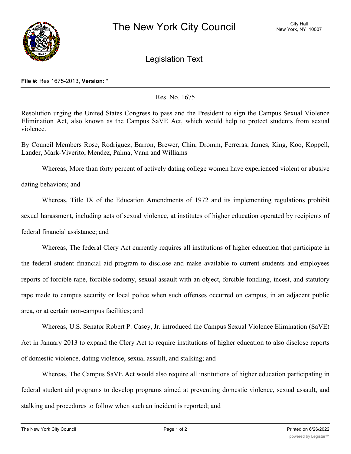

Legislation Text

## **File #:** Res 1675-2013, **Version:** \*

## Res. No. 1675

Resolution urging the United States Congress to pass and the President to sign the Campus Sexual Violence Elimination Act, also known as the Campus SaVE Act, which would help to protect students from sexual violence.

By Council Members Rose, Rodriguez, Barron, Brewer, Chin, Dromm, Ferreras, James, King, Koo, Koppell, Lander, Mark-Viverito, Mendez, Palma, Vann and Williams

Whereas, More than forty percent of actively dating college women have experienced violent or abusive

dating behaviors; and

Whereas, Title IX of the Education Amendments of 1972 and its implementing regulations prohibit sexual harassment, including acts of sexual violence, at institutes of higher education operated by recipients of federal financial assistance; and

Whereas, The federal Clery Act currently requires all institutions of higher education that participate in the federal student financial aid program to disclose and make available to current students and employees reports of forcible rape, forcible sodomy, sexual assault with an object, forcible fondling, incest, and statutory rape made to campus security or local police when such offenses occurred on campus, in an adjacent public area, or at certain non-campus facilities; and

Whereas, U.S. Senator Robert P. Casey, Jr. introduced the Campus Sexual Violence Elimination (SaVE) Act in January 2013 to expand the Clery Act to require institutions of higher education to also disclose reports of domestic violence, dating violence, sexual assault, and stalking; and

Whereas, The Campus SaVE Act would also require all institutions of higher education participating in federal student aid programs to develop programs aimed at preventing domestic violence, sexual assault, and stalking and procedures to follow when such an incident is reported; and

 $W_{\rm eff}$  as, under the Campus SaVE Act, studients would be provided written notification of victims'  $W_{\rm eff}$